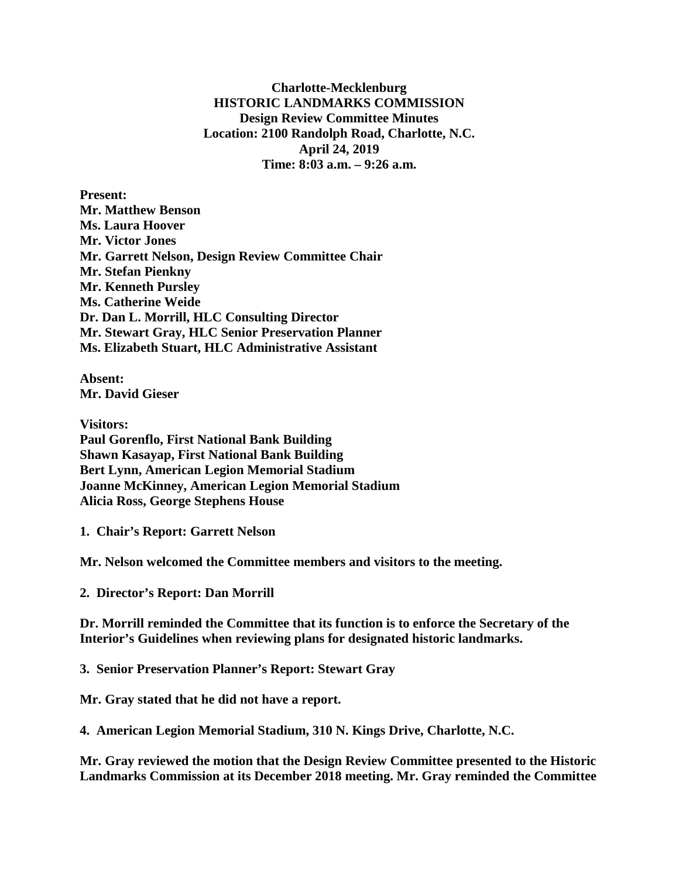**Charlotte-Mecklenburg HISTORIC LANDMARKS COMMISSION Design Review Committee Minutes Location: 2100 Randolph Road, Charlotte, N.C. April 24, 2019 Time: 8:03 a.m. – 9:26 a.m.**

**Present: Mr. Matthew Benson Ms. Laura Hoover Mr. Victor Jones Mr. Garrett Nelson, Design Review Committee Chair Mr. Stefan Pienkny Mr. Kenneth Pursley Ms. Catherine Weide Dr. Dan L. Morrill, HLC Consulting Director Mr. Stewart Gray, HLC Senior Preservation Planner Ms. Elizabeth Stuart, HLC Administrative Assistant**

**Absent: Mr. David Gieser**

**Visitors: Paul Gorenflo, First National Bank Building Shawn Kasayap, First National Bank Building Bert Lynn, American Legion Memorial Stadium Joanne McKinney, American Legion Memorial Stadium Alicia Ross, George Stephens House**

**1. Chair's Report: Garrett Nelson**

**Mr. Nelson welcomed the Committee members and visitors to the meeting.**

**2. Director's Report: Dan Morrill**

**Dr. Morrill reminded the Committee that its function is to enforce the Secretary of the Interior's Guidelines when reviewing plans for designated historic landmarks.** 

**3. Senior Preservation Planner's Report: Stewart Gray**

**Mr. Gray stated that he did not have a report.** 

**4. American Legion Memorial Stadium, 310 N. Kings Drive, Charlotte, N.C.** 

**Mr. Gray reviewed the motion that the Design Review Committee presented to the Historic Landmarks Commission at its December 2018 meeting. Mr. Gray reminded the Committee**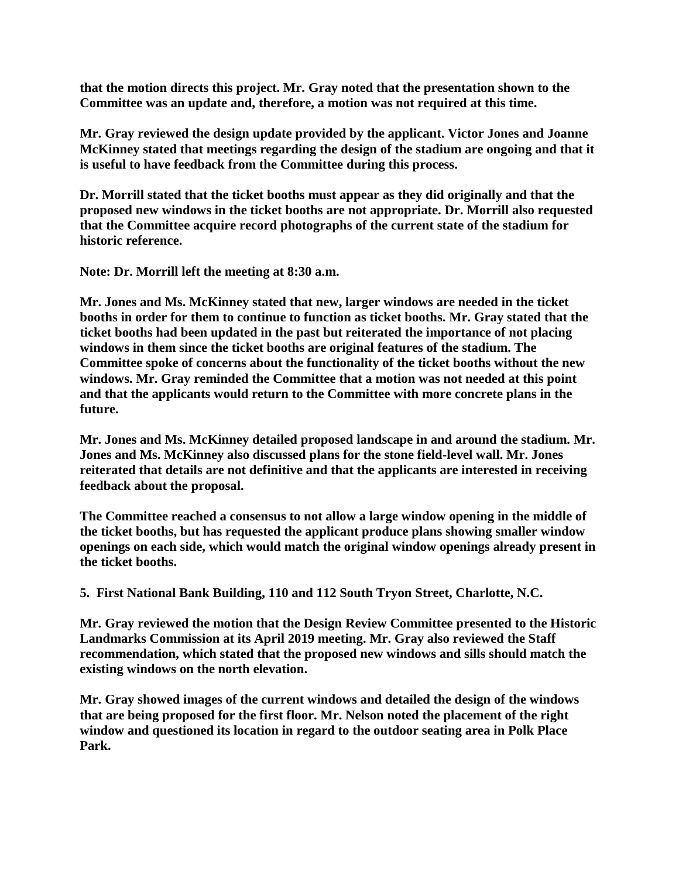**that the motion directs this project. Mr. Gray noted that the presentation shown to the Committee was an update and, therefore, a motion was not required at this time.** 

**Mr. Gray reviewed the design update provided by the applicant. Victor Jones and Joanne McKinney stated that meetings regarding the design of the stadium are ongoing and that it is useful to have feedback from the Committee during this process.** 

**Dr. Morrill stated that the ticket booths must appear as they did originally and that the proposed new windows in the ticket booths are not appropriate. Dr. Morrill also requested that the Committee acquire record photographs of the current state of the stadium for historic reference.**

**Note: Dr. Morrill left the meeting at 8:30 a.m.**

**Mr. Jones and Ms. McKinney stated that new, larger windows are needed in the ticket booths in order for them to continue to function as ticket booths. Mr. Gray stated that the ticket booths had been updated in the past but reiterated the importance of not placing windows in them since the ticket booths are original features of the stadium. The Committee spoke of concerns about the functionality of the ticket booths without the new windows. Mr. Gray reminded the Committee that a motion was not needed at this point and that the applicants would return to the Committee with more concrete plans in the future.** 

**Mr. Jones and Ms. McKinney detailed proposed landscape in and around the stadium. Mr. Jones and Ms. McKinney also discussed plans for the stone field-level wall. Mr. Jones reiterated that details are not definitive and that the applicants are interested in receiving feedback about the proposal.** 

**The Committee reached a consensus to not allow a large window opening in the middle of the ticket booths, but has requested the applicant produce plans showing smaller window openings on each side, which would match the original window openings already present in the ticket booths.** 

**5. First National Bank Building, 110 and 112 South Tryon Street, Charlotte, N.C.**

**Mr. Gray reviewed the motion that the Design Review Committee presented to the Historic Landmarks Commission at its April 2019 meeting. Mr. Gray also reviewed the Staff recommendation, which stated that the proposed new windows and sills should match the existing windows on the north elevation.**

**Mr. Gray showed images of the current windows and detailed the design of the windows that are being proposed for the first floor. Mr. Nelson noted the placement of the right window and questioned its location in regard to the outdoor seating area in Polk Place Park.**